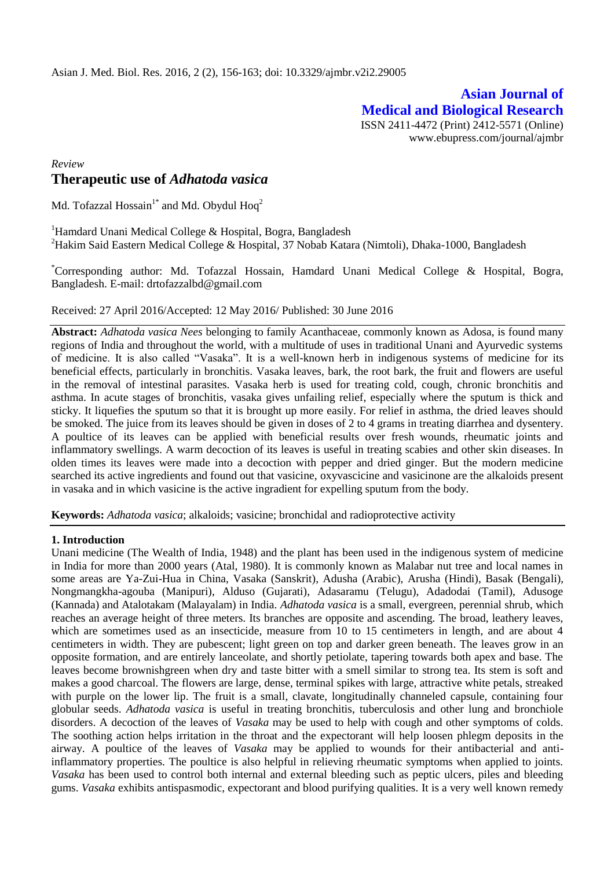**Asian Journal of Medical and Biological Research** ISSN 2411-4472 (Print) 2412-5571 (Online) www.ebupress.com/journal/ajmbr

# *Review* **Therapeutic use of** *Adhatoda vasica*

Md. Tofazzal Hossain<sup>1\*</sup> and Md. Obydul Hoq<sup>2</sup>

<sup>1</sup>Hamdard Unani Medical College & Hospital, Bogra, Bangladesh <sup>2</sup>Hakim Said Eastern Medical College & Hospital, 37 Nobab Katara (Nimtoli), Dhaka-1000, Bangladesh

\*Corresponding author: Md. Tofazzal Hossain, Hamdard Unani Medical College & Hospital, Bogra, Bangladesh. E-mail: [drtofazzalbd@gmail.com](mailto:drtofazzalbd@gmail.com)

Received: 27 April 2016/Accepted: 12 May 2016/ Published: 30 June 2016

**Abstract:** *Adhatoda vasica Nees* belonging to family Acanthaceae, commonly known as Adosa, is found many regions of India and throughout the world, with a multitude of uses in traditional Unani and Ayurvedic systems of medicine. It is also called "Vasaka". It is a well-known herb in indigenous systems of medicine for its beneficial effects, particularly in bronchitis. Vasaka leaves, bark, the root bark, the fruit and flowers are useful in the removal of intestinal parasites. Vasaka herb is used for treating cold, cough, chronic bronchitis and asthma. In acute stages of bronchitis, vasaka gives unfailing relief, especially where the sputum is thick and sticky. It liquefies the sputum so that it is brought up more easily. For relief in asthma, the dried leaves should be smoked. The juice from its leaves should be given in doses of 2 to 4 grams in treating diarrhea and dysentery. A poultice of its leaves can be applied with beneficial results over fresh wounds, rheumatic joints and inflammatory swellings. A warm decoction of its leaves is useful in treating scabies and other skin diseases. In olden times its leaves were made into a decoction with pepper and dried ginger. But the modern medicine searched its active ingredients and found out that vasicine, oxyvascicine and vasicinone are the alkaloids present in vasaka and in which vasicine is the active ingradient for expelling sputum from the body.

**Keywords:** *Adhatoda vasica*; alkaloids; vasicine; bronchidal and radioprotective activity

## **1. Introduction**

Unani medicine (The Wealth of India, 1948) and the plant has been used in the indigenous system of medicine in India for more than 2000 years (Atal, 1980). It is commonly known as Malabar nut tree and local names in some areas are Ya-Zui-Hua in China, Vasaka (Sanskrit), Adusha (Arabic), Arusha (Hindi), Basak (Bengali), Nongmangkha-agouba (Manipuri), Alduso (Gujarati), Adasaramu (Telugu), Adadodai (Tamil), Adusoge (Kannada) and Atalotakam (Malayalam) in India. *Adhatoda vasica* is a small, evergreen, perennial shrub, which reaches an average height of three meters. Its branches are opposite and ascending. The broad, leathery leaves, which are sometimes used as an insecticide, measure from 10 to 15 centimeters in length, and are about 4 centimeters in width. They are pubescent; light green on top and darker green beneath. The leaves grow in an opposite formation, and are entirely lanceolate, and shortly petiolate, tapering towards both apex and base. The leaves become brownishgreen when dry and taste bitter with a smell similar to strong tea. Its stem is soft and makes a good charcoal. The flowers are large, dense, terminal spikes with large, attractive white petals, streaked with purple on the lower lip. The fruit is a small, clavate, longitudinally channeled capsule, containing four globular seeds. *Adhatoda vasica* is useful in treating bronchitis, tuberculosis and other lung and bronchiole disorders. A decoction of the leaves of *Vasaka* may be used to help with cough and other symptoms of colds. The soothing action helps irritation in the throat and the expectorant will help loosen phlegm deposits in the airway. A poultice of the leaves of *Vasaka* may be applied to wounds for their antibacterial and antiinflammatory properties. The poultice is also helpful in relieving rheumatic symptoms when applied to joints. *Vasaka* has been used to control both internal and external bleeding such as peptic ulcers, piles and bleeding gums. *Vasaka* exhibits antispasmodic, expectorant and blood purifying qualities. It is a very well known remedy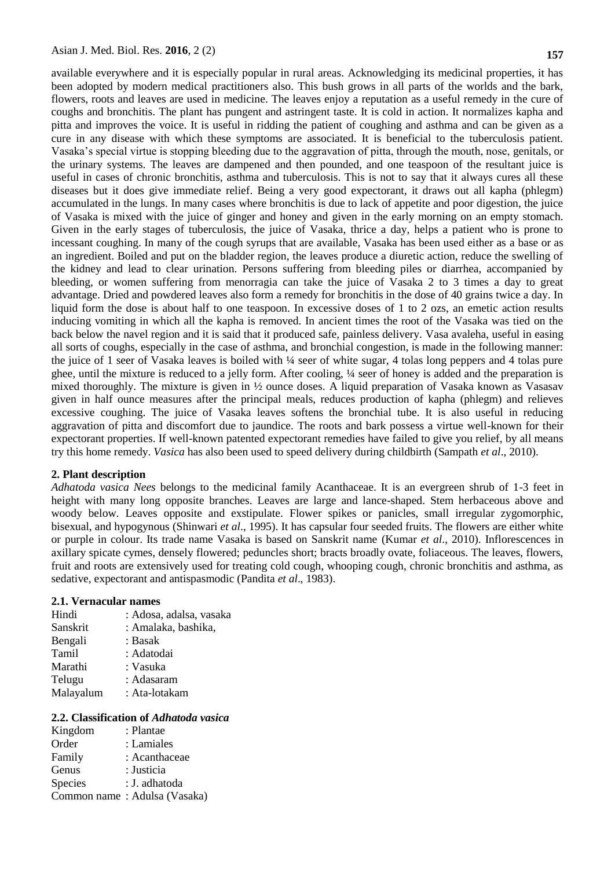available everywhere and it is especially popular in rural areas. Acknowledging its medicinal properties, it has been adopted by modern medical practitioners also. This bush grows in all parts of the worlds and the bark, flowers, roots and leaves are used in medicine. The leaves enjoy a reputation as a useful remedy in the cure of coughs and bronchitis. The plant has pungent and astringent taste. It is cold in action. It normalizes kapha and pitta and improves the voice. It is useful in ridding the patient of coughing and asthma and can be given as a cure in any disease with which these symptoms are associated. It is beneficial to the tuberculosis patient. Vasaka"s special virtue is stopping bleeding due to the aggravation of pitta, through the mouth, nose, genitals, or the urinary systems. The leaves are dampened and then pounded, and one teaspoon of the resultant juice is useful in cases of chronic bronchitis, asthma and tuberculosis. This is not to say that it always cures all these diseases but it does give immediate relief. Being a very good expectorant, it draws out all kapha (phlegm) accumulated in the lungs. In many cases where bronchitis is due to lack of appetite and poor digestion, the juice of Vasaka is mixed with the juice of ginger and honey and given in the early morning on an empty stomach. Given in the early stages of tuberculosis, the juice of Vasaka, thrice a day, helps a patient who is prone to incessant coughing. In many of the cough syrups that are available, Vasaka has been used either as a base or as an ingredient. Boiled and put on the bladder region, the leaves produce a diuretic action, reduce the swelling of the kidney and lead to clear urination. Persons suffering from bleeding piles or diarrhea, accompanied by bleeding, or women suffering from menorragia can take the juice of Vasaka 2 to 3 times a day to great advantage. Dried and powdered leaves also form a remedy for bronchitis in the dose of 40 grains twice a day. In liquid form the dose is about half to one teaspoon. In excessive doses of 1 to 2 ozs, an emetic action results inducing vomiting in which all the kapha is removed. In ancient times the root of the Vasaka was tied on the back below the navel region and it is said that it produced safe, painless delivery. Vasa avaleha, useful in easing all sorts of coughs, especially in the case of asthma, and bronchial congestion, is made in the following manner: the juice of 1 seer of Vasaka leaves is boiled with ¼ seer of white sugar, 4 tolas long peppers and 4 tolas pure ghee, until the mixture is reduced to a jelly form. After cooling, ¼ seer of honey is added and the preparation is mixed thoroughly. The mixture is given in ½ ounce doses. A liquid preparation of Vasaka known as Vasasav given in half ounce measures after the principal meals, reduces production of kapha (phlegm) and relieves excessive coughing. The juice of Vasaka leaves softens the bronchial tube. It is also useful in reducing aggravation of pitta and discomfort due to jaundice. The roots and bark possess a virtue well-known for their expectorant properties. If well-known patented expectorant remedies have failed to give you relief, by all means try this home remedy. *Vasica* has also been used to speed delivery during childbirth (Sampath *et al*., 2010).

### **2. Plant description**

*Adhatoda vasica Nees* belongs to the medicinal family Acanthaceae. It is an evergreen shrub of 1-3 feet in height with many long opposite branches. Leaves are large and lance-shaped. Stem herbaceous above and woody below. Leaves opposite and exstipulate. Flower spikes or panicles, small irregular zygomorphic, bisexual, and hypogynous (Shinwari *et al*., 1995). It has capsular four seeded fruits. The flowers are either white or purple in colour. Its trade name Vasaka is based on Sanskrit name (Kumar *et al*., 2010). Inflorescences in axillary spicate cymes, densely flowered; peduncles short; bracts broadly ovate, foliaceous. The leaves, flowers, fruit and roots are extensively used for treating cold cough, whooping cough, chronic bronchitis and asthma, as sedative, expectorant and antispasmodic (Pandita *et al*., 1983).

### **2.1. Vernacular names**

| Hindi     | : Adosa, adalsa, vasaka |
|-----------|-------------------------|
| Sanskrit  | : Amalaka, bashika,     |
| Bengali   | : Basak                 |
| Tamil     | : Adatodai              |
| Marathi   | : Vasuka                |
| Telugu    | : Adasaram              |
| Malayalum | : Ata-lotakam           |
|           |                         |

### **2.2. Classification of** *Adhatoda vasica*

| Kingdom | : Plantae                    |
|---------|------------------------------|
| Order   | : Lamiales                   |
| Family  | : Acanthaceae                |
| Genus   | : Justicia                   |
| Species | : J. adhatoda                |
|         | Common name: Adulsa (Vasaka) |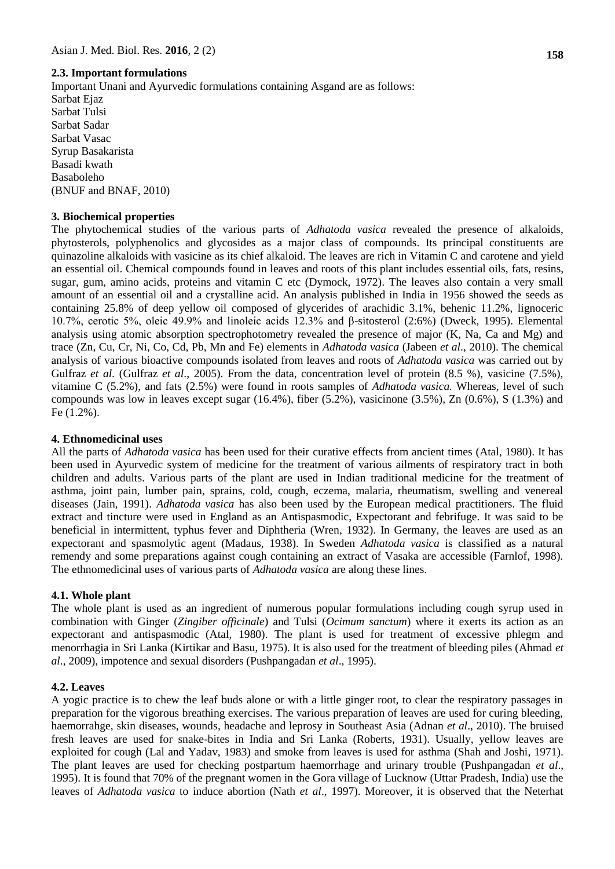## **2.3. Important formulations**

Important Unani and Ayurvedic formulations containing Asgand are as follows:

Sarbat Ejaz Sarbat Tulsi Sarbat Sadar Sarbat Vasac Syrup Basakarista Basadi kwath Basaboleho (BNUF and BNAF, 2010)

### **3. Biochemical properties**

The phytochemical studies of the various parts of *Adhatoda vasica* revealed the presence of alkaloids, phytosterols, polyphenolics and glycosides as a major class of compounds. Its principal constituents are quinazoline alkaloids with vasicine as its chief alkaloid. The leaves are rich in Vitamin C and carotene and yield an essential oil. Chemical compounds found in leaves and roots of this plant includes essential oils, fats, resins, sugar, gum, amino acids, proteins and vitamin C etc (Dymock, 1972). The leaves also contain a very small amount of an essential oil and a crystalline acid. An analysis published in India in 1956 showed the seeds as containing 25.8% of deep yellow oil composed of glycerides of arachidic 3.1%, behenic 11.2%, lignoceric 10.7%, cerotic 5%, oleic 49.9% and linoleic acids 12.3% and β-sitosterol (2:6%) (Dweck, 1995). Elemental analysis using atomic absorption spectrophotometry revealed the presence of major (K, Na, Ca and Mg) and trace (Zn, Cu, Cr, Ni, Co, Cd, Pb, Mn and Fe) elements in *Adhatoda vasica* (Jabeen *et al*., 2010). The chemical analysis of various bioactive compounds isolated from leaves and roots of *Adhatoda vasica* was carried out by Gulfraz *et al.* (Gulfraz *et al.*, 2005). From the data, concentration level of protein (8.5 %), vasicine (7.5%), vitamine C (5.2%), and fats (2.5%) were found in roots samples of *Adhatoda vasica.* Whereas, level of such compounds was low in leaves except sugar  $(16.4\%)$ , fiber  $(5.2\%)$ , vasicinone  $(3.5\%)$ , Zn  $(0.6\%)$ , S  $(1.3\%)$  and Fe (1.2%).

### **4. Ethnomedicinal uses**

All the parts of *Adhatoda vasica* has been used for their curative effects from ancient times (Atal, 1980). It has been used in Ayurvedic system of medicine for the treatment of various ailments of respiratory tract in both children and adults. Various parts of the plant are used in Indian traditional medicine for the treatment of asthma, joint pain, lumber pain, sprains, cold, cough, eczema, malaria, rheumatism, swelling and venereal diseases (Jain, 1991). *Adhatoda vasica* has also been used by the European medical practitioners. The fluid extract and tincture were used in England as an Antispasmodic, Expectorant and febrifuge. It was said to be beneficial in intermittent, typhus fever and Diphtheria (Wren, 1932). In Germany, the leaves are used as an expectorant and spasmolytic agent (Madaus, 1938). In Sweden *Adhatoda vasica* is classified as a natural remendy and some preparations against cough containing an extract of Vasaka are accessible (Farnlof, 1998). The ethnomedicinal uses of various parts of *Adhatoda vasica* are along these lines.

### **4.1. Whole plant**

The whole plant is used as an ingredient of numerous popular formulations including cough syrup used in combination with Ginger (*Zingiber officinale*) and Tulsi (*Ocimum sanctum*) where it exerts its action as an expectorant and antispasmodic (Atal, 1980). The plant is used for treatment of excessive phlegm and menorrhagia in Sri Lanka (Kirtikar and Basu, 1975). It is also used for the treatment of bleeding piles (Ahmad *et al*., 2009), impotence and sexual disorders (Pushpangadan *et al*., 1995).

### **4.2. Leaves**

A yogic practice is to chew the leaf buds alone or with a little ginger root, to clear the respiratory passages in preparation for the vigorous breathing exercises. The various preparation of leaves are used for curing bleeding, haemorrahge, skin diseases, wounds, headache and leprosy in Southeast Asia (Adnan *et al*., 2010). The bruised fresh leaves are used for snake-bites in India and Sri Lanka (Roberts, 1931). Usually, yellow leaves are exploited for cough (Lal and Yadav, 1983) and smoke from leaves is used for asthma (Shah and Joshi, 1971). The plant leaves are used for checking postpartum haemorrhage and urinary trouble (Pushpangadan *et al*., 1995). It is found that 70% of the pregnant women in the Gora village of Lucknow (Uttar Pradesh, India) use the leaves of *Adhatoda vasica* to induce abortion (Nath *et al*., 1997). Moreover, it is observed that the Neterhat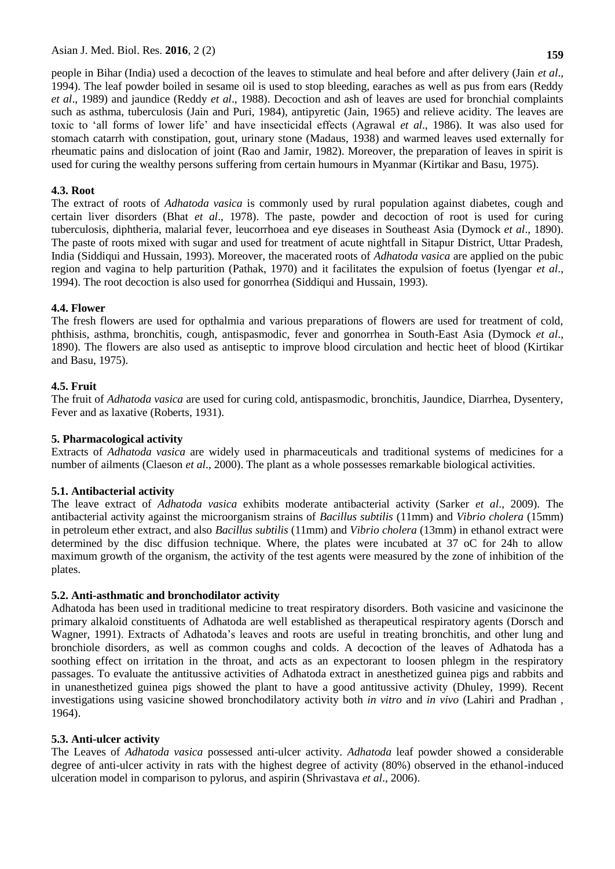people in Bihar (India) used a decoction of the leaves to stimulate and heal before and after delivery (Jain *et al*., 1994). The leaf powder boiled in sesame oil is used to stop bleeding, earaches as well as pus from ears (Reddy *et al*., 1989) and jaundice (Reddy *et al*., 1988). Decoction and ash of leaves are used for bronchial complaints such as asthma, tuberculosis (Jain and Puri, 1984), antipyretic (Jain, 1965) and relieve acidity. The leaves are toxic to "all forms of lower life" and have insecticidal effects (Agrawal *et al*., 1986). It was also used for stomach catarrh with constipation, gout, urinary stone (Madaus, 1938) and warmed leaves used externally for rheumatic pains and dislocation of joint (Rao and Jamir, 1982). Moreover, the preparation of leaves in spirit is used for curing the wealthy persons suffering from certain humours in Myanmar (Kirtikar and Basu, 1975).

## **4.3. Root**

The extract of roots of *Adhatoda vasica* is commonly used by rural population against diabetes, cough and certain liver disorders (Bhat *et al*., 1978). The paste, powder and decoction of root is used for curing tuberculosis, diphtheria, malarial fever, leucorrhoea and eye diseases in Southeast Asia (Dymock *et al*., 1890). The paste of roots mixed with sugar and used for treatment of acute nightfall in Sitapur District, Uttar Pradesh, India (Siddiqui and Hussain, 1993). Moreover, the macerated roots of *Adhatoda vasica* are applied on the pubic region and vagina to help parturition (Pathak, 1970) and it facilitates the expulsion of foetus (Iyengar *et al*., 1994). The root decoction is also used for gonorrhea (Siddiqui and Hussain, 1993).

## **4.4. Flower**

The fresh flowers are used for opthalmia and various preparations of flowers are used for treatment of cold, phthisis, asthma, bronchitis, cough, antispasmodic, fever and gonorrhea in South-East Asia (Dymock *et al*., 1890). The flowers are also used as antiseptic to improve blood circulation and hectic heet of blood (Kirtikar and Basu, 1975).

# **4.5. Fruit**

The fruit of *Adhatoda vasica* are used for curing cold, antispasmodic, bronchitis, Jaundice, Diarrhea, Dysentery, Fever and as laxative (Roberts, 1931).

## **5. Pharmacological activity**

Extracts of *Adhatoda vasica* are widely used in pharmaceuticals and traditional systems of medicines for a number of ailments (Claeson *et al*., 2000). The plant as a whole possesses remarkable biological activities.

## **5.1. Antibacterial activity**

The leave extract of *Adhatoda vasica* exhibits moderate antibacterial activity (Sarker *et al*., 2009). The antibacterial activity against the microorganism strains of *Bacillus subtilis* (11mm) and *Vibrio cholera* (15mm) in petroleum ether extract, and also *Bacillus subtilis* (11mm) and *Vibrio cholera* (13mm) in ethanol extract were determined by the disc diffusion technique. Where, the plates were incubated at 37 oC for 24h to allow maximum growth of the organism, the activity of the test agents were measured by the zone of inhibition of the plates.

## **5.2. Anti-asthmatic and bronchodilator activity**

Adhatoda has been used in traditional medicine to treat respiratory disorders. Both vasicine and vasicinone the primary alkaloid constituents of Adhatoda are well established as therapeutical respiratory agents (Dorsch and Wagner, 1991). Extracts of Adhatoda"s leaves and roots are useful in treating bronchitis, and other lung and bronchiole disorders, as well as common coughs and colds. A decoction of the leaves of Adhatoda has a soothing effect on irritation in the throat, and acts as an expectorant to loosen phlegm in the respiratory passages. To evaluate the antitussive activities of Adhatoda extract in anesthetized guinea pigs and rabbits and in unanesthetized guinea pigs showed the plant to have a good antitussive activity (Dhuley, 1999). Recent investigations using vasicine showed bronchodilatory activity both *in vitro* and *in vivo* (Lahiri and Pradhan , 1964).

## **5.3. Anti-ulcer activity**

The Leaves of *Adhatoda vasica* possessed anti-ulcer activity. *Adhatoda* leaf powder showed a considerable degree of anti-ulcer activity in rats with the highest degree of activity (80%) observed in the ethanol-induced ulceration model in comparison to pylorus, and aspirin (Shrivastava *et al*., 2006).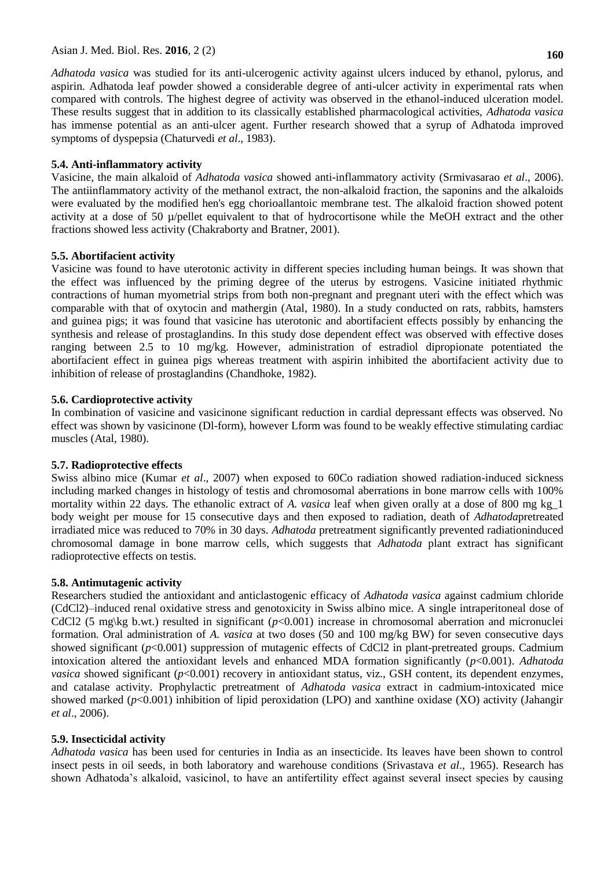# Asian J. Med. Biol. Res. **2016**, 2 (2) **160**

*Adhatoda vasica* was studied for its anti-ulcerogenic activity against ulcers induced by ethanol, pylorus, and aspirin. Adhatoda leaf powder showed a considerable degree of anti-ulcer activity in experimental rats when compared with controls. The highest degree of activity was observed in the ethanol-induced ulceration model. These results suggest that in addition to its classically established pharmacological activities, *Adhatoda vasica*  has immense potential as an anti-ulcer agent. Further research showed that a syrup of Adhatoda improved symptoms of dyspepsia (Chaturvedi *et al*., 1983).

### **5.4. Anti-inflammatory activity**

Vasicine, the main alkaloid of *Adhatoda vasica* showed anti-inflammatory activity (Srmivasarao *et al*., 2006). The antiinflammatory activity of the methanol extract, the non-alkaloid fraction, the saponins and the alkaloids were evaluated by the modified hen's egg chorioallantoic membrane test. The alkaloid fraction showed potent activity at a dose of 50  $\mu$ /pellet equivalent to that of hydrocortisone while the MeOH extract and the other fractions showed less activity (Chakraborty and Bratner, 2001).

## **5.5. Abortifacient activity**

Vasicine was found to have uterotonic activity in different species including human beings. It was shown that the effect was influenced by the priming degree of the uterus by estrogens. Vasicine initiated rhythmic contractions of human myometrial strips from both non-pregnant and pregnant uteri with the effect which was comparable with that of oxytocin and mathergin (Atal, 1980). In a study conducted on rats, rabbits, hamsters and guinea pigs; it was found that vasicine has uterotonic and abortifacient effects possibly by enhancing the synthesis and release of prostaglandins. In this study dose dependent effect was observed with effective doses ranging between 2.5 to 10 mg/kg. However, administration of estradiol dipropionate potentiated the abortifacient effect in guinea pigs whereas treatment with aspirin inhibited the abortifacient activity due to inhibition of release of prostaglandins (Chandhoke, 1982).

### **5.6. Cardioprotective activity**

In combination of vasicine and vasicinone significant reduction in cardial depressant effects was observed. No effect was shown by vasicinone (Dl-form), however Lform was found to be weakly effective stimulating cardiac muscles (Atal, 1980).

### **5.7. Radioprotective effects**

Swiss albino mice (Kumar *et al*., 2007) when exposed to 60Co radiation showed radiation-induced sickness including marked changes in histology of testis and chromosomal aberrations in bone marrow cells with 100% mortality within 22 days. The ethanolic extract of *A. vasica* leaf when given orally at a dose of 800 mg kg\_1 body weight per mouse for 15 consecutive days and then exposed to radiation, death of *Adhatoda*pretreated irradiated mice was reduced to 70% in 30 days. *Adhatoda* pretreatment significantly prevented radiationinduced chromosomal damage in bone marrow cells, which suggests that *Adhatoda* plant extract has significant radioprotective effects on testis.

### **5.8. Antimutagenic activity**

Researchers studied the antioxidant and anticlastogenic efficacy of *Adhatoda vasica* against cadmium chloride (CdCl2)–induced renal oxidative stress and genotoxicity in Swiss albino mice. A single intraperitoneal dose of CdCl2 (5 mg\kg b.wt.) resulted in significant (*p*<0.001) increase in chromosomal aberration and micronuclei formation. Oral administration of *A. vasica* at two doses (50 and 100 mg/kg BW) for seven consecutive days showed significant ( $p$ <0.001) suppression of mutagenic effects of CdCl2 in plant-pretreated groups. Cadmium intoxication altered the antioxidant levels and enhanced MDA formation significantly (*p*<0.001). *Adhatoda vasica* showed significant (*p*<0.001) recovery in antioxidant status, viz., GSH content, its dependent enzymes, and catalase activity. Prophylactic pretreatment of *Adhatoda vasica* extract in cadmium-intoxicated mice showed marked ( $p<0.001$ ) inhibition of lipid peroxidation (LPO) and xanthine oxidase (XO) activity (Jahangir *et al*., 2006).

## **5.9. Insecticidal activity**

*Adhatoda vasica* has been used for centuries in India as an insecticide. Its leaves have been shown to control insect pests in oil seeds, in both laboratory and warehouse conditions (Srivastava *et al*., 1965). Research has shown Adhatoda"s alkaloid, vasicinol, to have an antifertility effect against several insect species by causing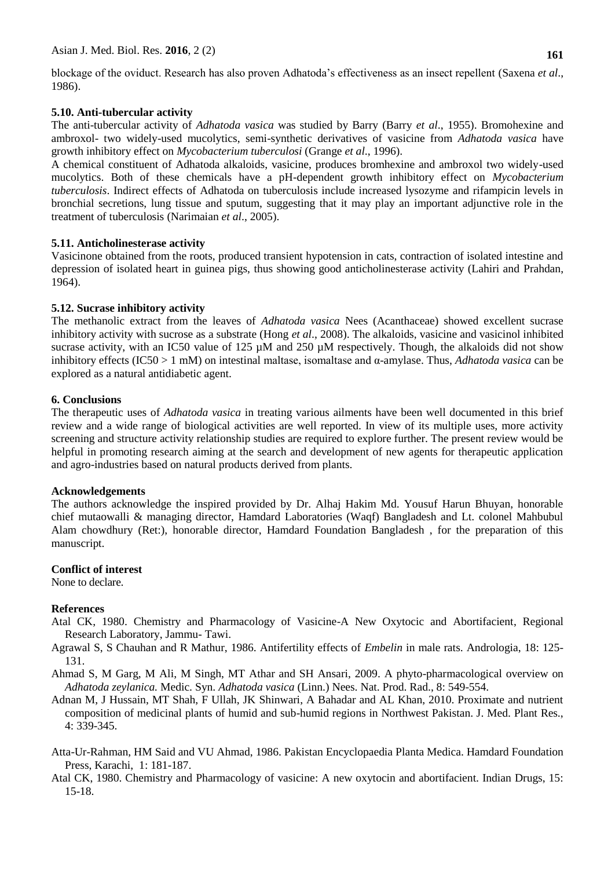blockage of the oviduct. Research has also proven Adhatoda"s effectiveness as an insect repellent (Saxena *et al*., 1986).

## **5.10. Anti-tubercular activity**

The anti-tubercular activity of *Adhatoda vasica* was studied by Barry (Barry *et al*., 1955). Bromohexine and ambroxol- two widely-used mucolytics, semi-synthetic derivatives of vasicine from *Adhatoda vasica* have growth inhibitory effect on *Mycobacterium tuberculosi* (Grange *et al*., 1996).

A chemical constituent of Adhatoda alkaloids, vasicine, produces bromhexine and ambroxol two widely-used mucolytics. Both of these chemicals have a pH-dependent growth inhibitory effect on *Mycobacterium tuberculosis*. Indirect effects of Adhatoda on tuberculosis include increased lysozyme and rifampicin levels in bronchial secretions, lung tissue and sputum, suggesting that it may play an important adjunctive role in the treatment of tuberculosis (Narimaian *et al*., 2005).

# **5.11. Anticholinesterase activity**

Vasicinone obtained from the roots, produced transient hypotension in cats, contraction of isolated intestine and depression of isolated heart in guinea pigs, thus showing good anticholinesterase activity (Lahiri and Prahdan, 1964).

# **5.12. Sucrase inhibitory activity**

The methanolic extract from the leaves of *Adhatoda vasica* Nees (Acanthaceae) showed excellent sucrase inhibitory activity with sucrose as a substrate (Hong *et al*., 2008). The alkaloids, vasicine and vasicinol inhibited sucrase activity, with an IC50 value of 125  $\mu$ M and 250  $\mu$ M respectively. Though, the alkaloids did not show inhibitory effects (IC50 > 1 mM) on intestinal maltase, isomaltase and α-amylase. Thus, *Adhatoda vasica* can be explored as a natural antidiabetic agent.

# **6. Conclusions**

The therapeutic uses of *Adhatoda vasica* in treating various ailments have been well documented in this brief review and a wide range of biological activities are well reported. In view of its multiple uses, more activity screening and structure activity relationship studies are required to explore further. The present review would be helpful in promoting research aiming at the search and development of new agents for therapeutic application and agro-industries based on natural products derived from plants.

## **Acknowledgements**

The authors acknowledge the inspired provided by Dr. Alhaj Hakim Md. Yousuf Harun Bhuyan, honorable chief mutaowalli & managing director, Hamdard Laboratories (Waqf) Bangladesh and Lt. colonel Mahbubul Alam chowdhury (Ret:), honorable director, Hamdard Foundation Bangladesh , for the preparation of this manuscript.

## **Conflict of interest**

None to declare.

# **References**

- Atal CK, 1980. Chemistry and Pharmacology of Vasicine-A New Oxytocic and Abortifacient, Regional Research Laboratory, Jammu- Tawi.
- Agrawal S, S Chauhan and R Mathur, 1986. Antifertility effects of *Embelin* in male rats. Andrologia, 18: 125- 131.
- Ahmad S, M Garg, M Ali, M Singh, MT Athar and SH Ansari, 2009. A phyto-pharmacological overview on *Adhatoda zeylanica.* Medic. Syn. *Adhatoda vasica* (Linn.) Nees. Nat. Prod. Rad., 8: 549-554.
- Adnan M, J Hussain, MT Shah, F Ullah, JK Shinwari, A Bahadar and AL Khan, 2010. Proximate and nutrient composition of medicinal plants of humid and sub-humid regions in Northwest Pakistan. J. Med. Plant Res., 4: 339-345.
- Atta-Ur-Rahman, HM Said and VU Ahmad, 1986. Pakistan Encyclopaedia Planta Medica. Hamdard Foundation Press, Karachi, 1: 181-187.
- Atal CK, 1980. Chemistry and Pharmacology of vasicine: A new oxytocin and abortifacient. Indian Drugs, 15: 15-18.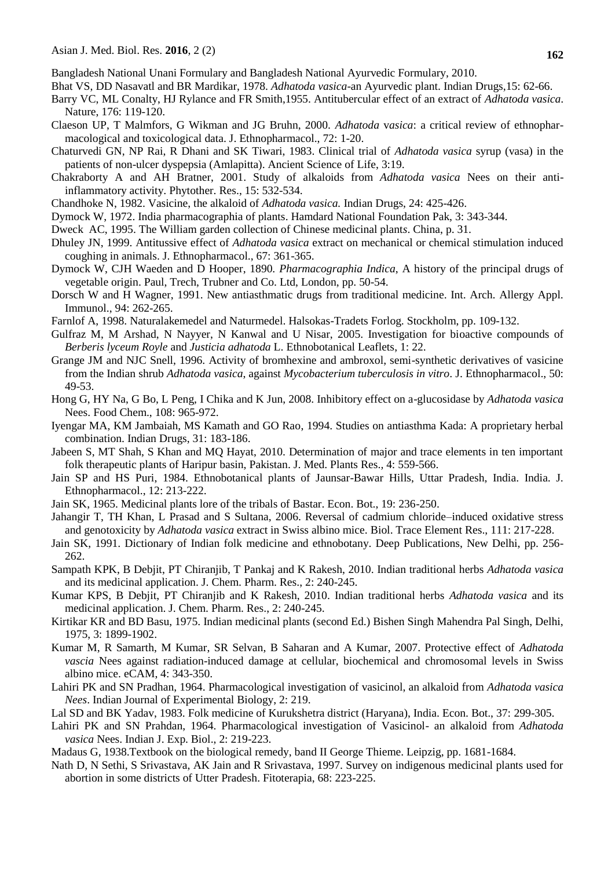Bangladesh National Unani Formulary and Bangladesh National Ayurvedic Formulary, 2010.

- Bhat VS, DD Nasavatl and BR Mardikar, 1978. *Adhatoda vasica*-an Ayurvedic plant. Indian Drugs,15: 62-66.
- Barry VC, ML Conalty, HJ Rylance and FR Smith,1955. Antitubercular effect of an extract of *Adhatoda vasica*. Nature, 176: 119-120.
- Claeson UP, T Malmfors, G Wikman and JG Bruhn, 2000. *Adhatoda* v*asica*: a critical review of ethnopharmacological and toxicological data. J. Ethnopharmacol., 72: 1-20.
- Chaturvedi GN, NP Rai, R Dhani and SK Tiwari, 1983. Clinical trial of *Adhatoda vasica* syrup (vasa) in the patients of non-ulcer dyspepsia (Amlapitta). Ancient Science of Life, 3:19.
- Chakraborty A and AH Bratner, 2001. Study of alkaloids from *Adhatoda vasica* Nees on their antiinflammatory activity. Phytother. Res., 15: 532-534.
- Chandhoke N, 1982. Vasicine, the alkaloid of *Adhatoda vasica.* Indian Drugs, 24: 425-426.
- Dymock W, 1972. India pharmacographia of plants. Hamdard National Foundation Pak, 3: 343-344.
- Dweck AC, 1995. The William garden collection of Chinese medicinal plant*s*. China, p. 31.
- Dhuley JN, 1999. Antitussive effect of *Adhatoda vasica* extract on mechanical or chemical stimulation induced coughing in animals. J. Ethnopharmacol., 67: 361-365.
- Dymock W, CJH Waeden and D Hooper, 1890. *Pharmacographia Indica*, A history of the principal drugs of vegetable origin. Paul, Trech, Trubner and Co. Ltd, London, pp. 50-54.
- Dorsch W and H Wagner, 1991. New antiasthmatic drugs from traditional medicine. Int. Arch. Allergy Appl. Immunol., 94: 262-265.
- Farnlof A, 1998. Naturalakemedel and Naturmedel. Halsokas-Tradets Forlog. Stockholm, pp. 109-132.
- Gulfraz M, M Arshad, N Nayyer, N Kanwal and U Nisar, 2005. Investigation for bioactive compounds of *Berberis lyceum Royle* and *Justicia adhatoda* L. Ethnobotanical Leaflets, 1: 22.
- Grange JM and NJC Snell, 1996. Activity of bromhexine and ambroxol, semi-synthetic derivatives of vasicine from the Indian shrub *Adhatoda vasica*, against *Mycobacterium tuberculosis in vitro*. J. Ethnopharmacol., 50: 49-53.
- Hong G, HY Na, G Bo, L Peng, I Chika and K Jun, 2008. Inhibitory effect on a-glucosidase by *Adhatoda vasica*  Nees. Food Chem., 108: 965-972.
- Iyengar MA, KM Jambaiah, MS Kamath and GO Rao, 1994. Studies on antiasthma Kada: A proprietary herbal combination. Indian Drugs, 31: 183-186.
- Jabeen S, MT Shah, S Khan and MQ Hayat, 2010. Determination of major and trace elements in ten important folk therapeutic plants of Haripur basin, Pakistan. J. Med. Plants Res.*,* 4: 559-566.
- Jain SP and HS Puri, 1984. Ethnobotanical plants of Jaunsar-Bawar Hills, Uttar Pradesh, India. India. J. Ethnopharmacol., 12: 213-222.
- Jain SK, 1965. Medicinal plants lore of the tribals of Bastar. Econ. Bot., 19: 236-250.
- Jahangir T, TH Khan, L Prasad and S Sultana, 2006. Reversal of cadmium chloride–induced oxidative stress and genotoxicity by *Adhatoda vasica* extract in Swiss albino mice. Biol. Trace Element Res., 111: 217-228.
- Jain SK, 1991. Dictionary of Indian folk medicine and ethnobotany. Deep Publications, New Delhi, pp. 256- 262.
- Sampath KPK, B Debjit, PT Chiranjib, T Pankaj and K Rakesh, 2010. Indian traditional herbs *Adhatoda vasica*  and its medicinal application. J. Chem. Pharm. Res., 2: 240-245.
- Kumar KPS, B Debjit, PT Chiranjib and K Rakesh, 2010. Indian traditional herbs *Adhatoda vasica* and its medicinal application. J. Chem. Pharm. Res., 2: 240-245.
- Kirtikar KR and BD Basu, 1975. Indian medicinal plants (second Ed.) Bishen Singh Mahendra Pal Singh, Delhi, 1975, 3: 1899-1902.
- Kumar M, R Samarth, M Kumar, SR Selvan, B Saharan and A Kumar, 2007. Protective effect of *Adhatoda vascia* Nees against radiation-induced damage at cellular, biochemical and chromosomal levels in Swiss albino mice. eCAM, 4: 343-350.
- Lahiri PK and SN Pradhan, 1964. Pharmacological investigation of vasicinol, an alkaloid from *Adhatoda vasica Nees*. Indian Journal of Experimental Biology, 2: 219.
- Lal SD and BK Yadav, 1983. Folk medicine of Kurukshetra district (Haryana), India. Econ. Bot., 37: 299-305.
- Lahiri PK and SN Prahdan, 1964. Pharmacological investigation of Vasicinol- an alkaloid from *Adhatoda vasica* Nees. Indian J. Exp. Biol., 2: 219-223.
- Madaus G, 1938.Textbook on the biological remedy, band II George Thieme. Leipzig, pp. 1681-1684.
- Nath D, N Sethi, S Srivastava, AK Jain and R Srivastava, 1997. Survey on indigenous medicinal plants used for abortion in some districts of Utter Pradesh. Fitoterapia, 68: 223-225.